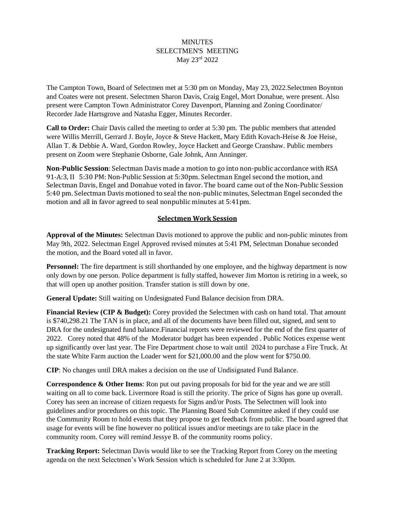## **MINUTES** SELECTMEN'S MEETING May 23rd 2022

The Campton Town, Board of Selectmen met at 5:30 pm on Monday, May 23, 2022.Selectmen Boynton and Coates were not present. Selectmen Sharon Davis, Craig Engel, Mort Donahue, were present. Also present were Campton Town Administrator Corey Davenport, Planning and Zoning Coordinator/ Recorder Jade Hartsgrove and Natasha Egger, Minutes Recorder.

**Call to Order:** Chair Davis called the meeting to order at 5:30 pm. The public members that attended were Willis Merrill, Gerrard J. Boyle, Joyce & Steve Hackett, Mary Edith Kovach-Heise & Joe Heise, Allan T. & Debbie A. Ward, Gordon Rowley, Joyce Hackett and George Cranshaw. Public members present on Zoom were Stephanie Osborne, Gale Johnk, Ann Anninger.

**Non-Public Session**: Selectman Davis made a motion to go into non-public accordance with RSA 91-A:3, II 5:30 PM: Non-Public Session at 5:30pm. Selectman Engel second the motion, and Selectman Davis, Engel and Donahue voted in favor. The board came out of the Non-Public Session 5:40 pm. Selectman Davis motioned to seal the non-public minutes, Selectman Engel seconded the motion and all in favor agreed to seal nonpublic minutes at 5:41pm.

# **Selectmen Work Session**

**Approval of the Minutes:** Selectman Davis motioned to approve the public and non-public minutes from May 9th, 2022. Selectman Engel Approved revised minutes at 5:41 PM, Selectman Donahue seconded the motion, and the Board voted all in favor.

**Personnel:** The fire department is still shorthanded by one employee, and the highway department is now only down by one person. Police department is fully staffed, however Jim Morton is retiring in a week, so that will open up another position. Transfer station is still down by one.

**General Update:** Still waiting on Undesignated Fund Balance decision from DRA.

**Financial Review (CIP & Budget):** Corey provided the Selectmen with cash on hand total. That amount is \$740,298.21 The TAN is in place, and all of the documents have been filled out, signed, and sent to DRA for the undesignated fund balance.Financial reports were reviewed for the end of the first quarter of 2022. Corey noted that 48% of the Moderator budget has been expended . Public Notices expense went up significantly over last year. The Fire Department chose to wait until 2024 to purchase a Fire Truck. At the state White Farm auction the Loader went for \$21,000.00 and the plow went for \$750.00.

**CIP**: No changes until DRA makes a decision on the use of Undisignated Fund Balance.

**Correspondence & Other Items**: Ron put out paving proposals for bid for the year and we are still waiting on all to come back. Livermore Road is still the priority. The price of Signs has gone up overall. Corey has seen an increase of citizen requests for Signs and/or Posts. The Selectmen will look into guidelines and/or procedures on this topic. The Planning Board Sub Committee asked if they could use the Community Room to hold events that they propose to get feedback from public. The board agreed that usage for events will be fine however no political issues and/or meetings are to take place in the community room. Corey will remind Jessye B. of the community rooms policy.

**Tracking Report:** Selectman Davis would like to see the Tracking Report from Corey on the meeting agenda on the next Selectmen's Work Session which is scheduled for June 2 at 3:30pm.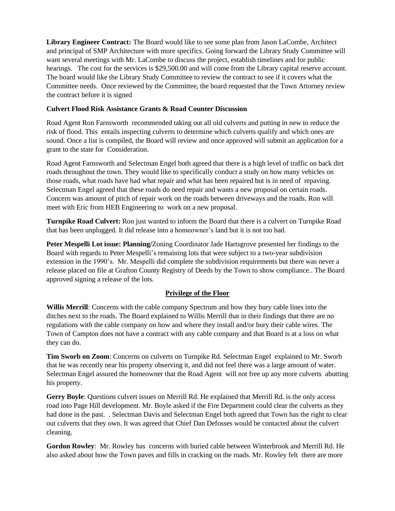**Library Engineer Contract:** The Board would like to see some plan from Jason LaCombe, Architect and principal of SMP Architecture with more specifics. Going forward the Library Study Committee will want several meetings with Mr. LaCombe to discuss the project, establish timelines and for public hearings. The cost for the services is \$29,500.00 and will come from the Library capital reserve account. The board would like the Library Study Committee to review the contract to see if it covers what the Committee needs. Once reviewed by the Committee, the board requested that the Town Attorney review the contract before it is signed

### **Culvert Flood Risk Assistance Grants & Road Counter Discussion**

Road Agent Ron Farnsworth recommended taking out all old culverts and putting in new to reduce the risk of flood. This entails inspecting culverts to determine which culverts qualify and which ones are sound. Once a list is compiled, the Board will review and once approved will submit an application for a grant to the state for Consideration.

Road Agent Farnsworth and Selectman Engel both agreed that there is a high level of traffic on back dirt roads throughout the town. They would like to specifically conduct a study on how many vehicles on those roads, what roads have had what repair and what has been repaired but is in need of repaving. Selectman Engel agreed that these roads do need repair and wants a new proposal on certain roads. Concern was amount of pitch of repair work on the roads between driveways and the roads. Ron will meet with Eric from HEB Engineering to work on a new proposal.

**Turnpike Road Culvert:** Ron just wanted to inform the Board that there is a culvert on Turnpike Road that has been unplugged. It did release into a homeowner's land but it is not too bad.

**Peter Mespelli Lot issue: Planning/**Zoning Coordinator Jade Hartsgrove presented her findings to the Board with regards to Peter Mespelli's remaining lots that were subject to a two-year subdivision extension in the 1990's. Mr. Mespelli did complete the subdivision requirements but there was never a release placed on file at Grafton County Registry of Deeds by the Town to show compliance.. The Board approved signing a release of the lots.

#### **Privilege of the Floor**

**Willis Merrill**: Concerns with the cable company Spectrum and how they bury cable lines into the ditches next to the roads. The Board explained to Willis Merrill that in their findings that there are no regulations with the cable company on how and where they install and/or bury their cable wires. The Town of Campton does not have a contract with any cable company and that Board is at a loss on what they can do.

**Tim Sworb on Zoom**: Concerns on culverts on Turnpike Rd. Selectman Engel explained to Mr. Sworb that he was recently near his property observing it, and did not feel there was a large amount of water. Selectman Engel assured the homeowner that the Road Agent will not free up any more culverts abutting his property.

**Gerry Boyle**: Questions culvert issues on Merrill Rd. He explained that Merrill Rd. is the only access road into Page Hill development. Mr. Boyle asked if the Fire Department could clear the culverts as they had done in the past. . Selectman Davis and Selectman Engel both agreed that Town has the right to clear out culverts that they own. It was agreed that Chief Dan Defosses would be contacted about the culvert cleaning.

**Gordon Rowley**: Mr. Rowley has concerns with buried cable between Winterbrook and Merrill Rd. He also asked about how the Town paves and fills in cracking on the roads. Mr. Rowley felt there are more